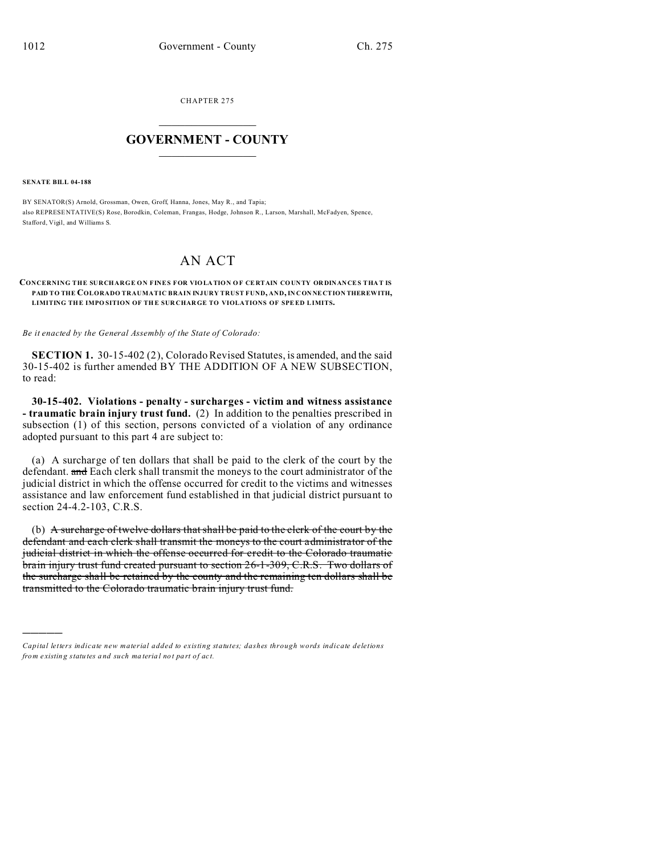CHAPTER 275  $\overline{\phantom{a}}$  , where  $\overline{\phantom{a}}$ 

## **GOVERNMENT - COUNTY**  $\_$

**SENATE BILL 04-188**

)))))

BY SENATOR(S) Arnold, Grossman, Owen, Groff, Hanna, Jones, May R., and Tapia; also REPRESE NTATIVE(S) Rose, Borodkin, Coleman, Frangas, Hodge, Johnson R., Larson, Marshall, McFadyen, Spence, Stafford, Vigil, and Williams S.

## AN ACT

## **CONCERNING THE SURCHARGE ON FINES FOR VIOLA TION O F CE RTAIN CO UNTY OR DINANCES THA T IS PAID TO THE COLORADO TRAUMATIC BRAIN INJURY TRUST FUND, AND, IN CON NE CTION THEREWITH, LIMITING THE IMPOSITION OF THE SURCHARGE TO VIOLATIONS OF SPEED LIMITS.**

*Be it enacted by the General Assembly of the State of Colorado:*

**SECTION 1.** 30-15-402 (2), Colorado Revised Statutes, is amended, and the said 30-15-402 is further amended BY THE ADDITION OF A NEW SUBSECTION, to read:

**30-15-402. Violations - penalty - surcharges - victim and witness assistance - traumatic brain injury trust fund.** (2) In addition to the penalties prescribed in subsection (1) of this section, persons convicted of a violation of any ordinance adopted pursuant to this part 4 are subject to:

(a) A surcharge of ten dollars that shall be paid to the clerk of the court by the defendant. and Each clerk shall transmit the moneys to the court administrator of the judicial district in which the offense occurred for credit to the victims and witnesses assistance and law enforcement fund established in that judicial district pursuant to section 24-4.2-103, C.R.S.

(b) A surcharge of twelve dollars that shall be paid to the clerk of the court by the defendant and each clerk shall transmit the moneys to the court administrator of the judicial district in which the offense occurred for credit to the Colorado traumatic brain injury trust fund created pursuant to section 26-1-309, C.R.S. Two dollars of the surcharge shall be retained by the county and the remaining ten dollars shall be transmitted to the Colorado traumatic brain injury trust fund.

*Capital letters indicate new material added to existing statutes; dashes through words indicate deletions from e xistin g statu tes a nd such ma teria l no t pa rt of ac t.*